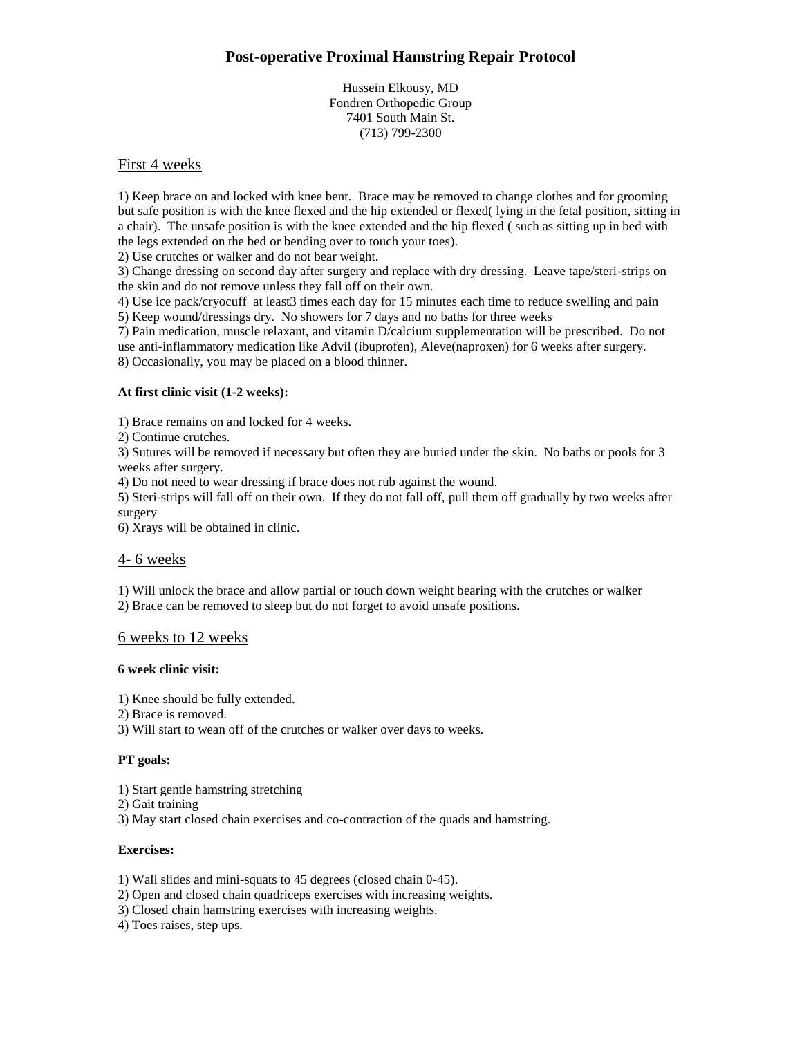## **Post-operative Proximal Hamstring Repair Protocol**

Hussein Elkousy, MD Fondren Orthopedic Group 7401 South Main St. (713) 799-2300

### First 4 weeks

1) Keep brace on and locked with knee bent. Brace may be removed to change clothes and for grooming but safe position is with the knee flexed and the hip extended or flexed( lying in the fetal position, sitting in a chair). The unsafe position is with the knee extended and the hip flexed ( such as sitting up in bed with the legs extended on the bed or bending over to touch your toes).

2) Use crutches or walker and do not bear weight.

3) Change dressing on second day after surgery and replace with dry dressing. Leave tape/steri-strips on the skin and do not remove unless they fall off on their own.

4) Use ice pack/cryocuff at least3 times each day for 15 minutes each time to reduce swelling and pain 5) Keep wound/dressings dry. No showers for 7 days and no baths for three weeks

7) Pain medication, muscle relaxant, and vitamin D/calcium supplementation will be prescribed. Do not use anti-inflammatory medication like Advil (ibuprofen), Aleve(naproxen) for 6 weeks after surgery. 8) Occasionally, you may be placed on a blood thinner.

#### **At first clinic visit (1-2 weeks):**

1) Brace remains on and locked for 4 weeks.

2) Continue crutches.

3) Sutures will be removed if necessary but often they are buried under the skin. No baths or pools for 3 weeks after surgery.

4) Do not need to wear dressing if brace does not rub against the wound.

5) Steri-strips will fall off on their own. If they do not fall off, pull them off gradually by two weeks after surgery

6) Xrays will be obtained in clinic.

#### 4- 6 weeks

1) Will unlock the brace and allow partial or touch down weight bearing with the crutches or walker 2) Brace can be removed to sleep but do not forget to avoid unsafe positions.

#### 6 weeks to 12 weeks

#### **6 week clinic visit:**

1) Knee should be fully extended.

2) Brace is removed.

3) Will start to wean off of the crutches or walker over days to weeks.

#### **PT goals:**

- 1) Start gentle hamstring stretching
- 2) Gait training
- 3) May start closed chain exercises and co-contraction of the quads and hamstring.

#### **Exercises:**

1) Wall slides and mini-squats to 45 degrees (closed chain 0-45).

- 2) Open and closed chain quadriceps exercises with increasing weights.
- 3) Closed chain hamstring exercises with increasing weights.
- 4) Toes raises, step ups.